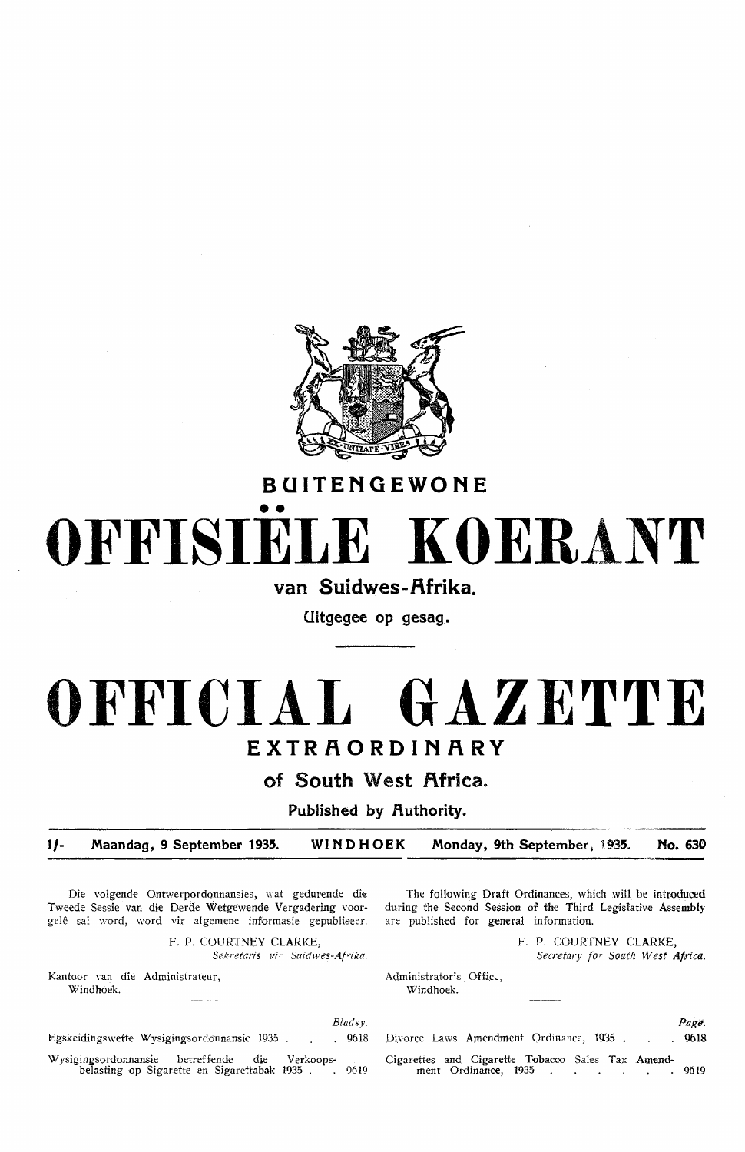

# **BUITENGEWONE**  •• **OFFISIELE KOERANT**

**van Suidwes-f\frika.** 

**Uitgegee op gesag.** 

# **OFFICIAL GAZETTE EXTRAORDINARY**

of South West Africa.

Published by Authority.

**1/- .Maandag. 9 September 1935. WINDHOEK .Monday, 9th September; 1935. No. 630** 

Die volgende Ontwerpordonnansies, wat gedurende die Tweede Sessie van die Derde Wetgewende Vergadering voorgelê sal word, word vir algemene informasie gepubliseer.

> F. P. COURTNEY CLARKE, Sekretaris vir Suidwes-Afrika.

Kantoor van die Administrateur, Windhoek.

*Blallsy.*  Egskeidingswette Wysigingsordonnansie 1935 . . . . 9618 Wysigingsordonnansie betreffende die Verkoops-<br>belasting op Sigarette en Sigarettabak 1935 . . 9619 belasting op Sigarette en Sigarettabak 1935 .

The following Draft Ordinances, which will be introduoed during the Second Session of the Third Legislative Assembly are published for general information.

> F. P. COURTNEY CLARKE, *Secretary* for *South West Africa.*

Administrator's Office, Windhoek.

|  |                                                   |  |  |  | Page. |
|--|---------------------------------------------------|--|--|--|-------|
|  | Divorce Laws Amendment Ordinance, 1935 9618       |  |  |  |       |
|  | Cigarettes and Cigarette Tobacco Sales Tax Amend- |  |  |  |       |
|  | ment Ordinance, 1935 9619                         |  |  |  |       |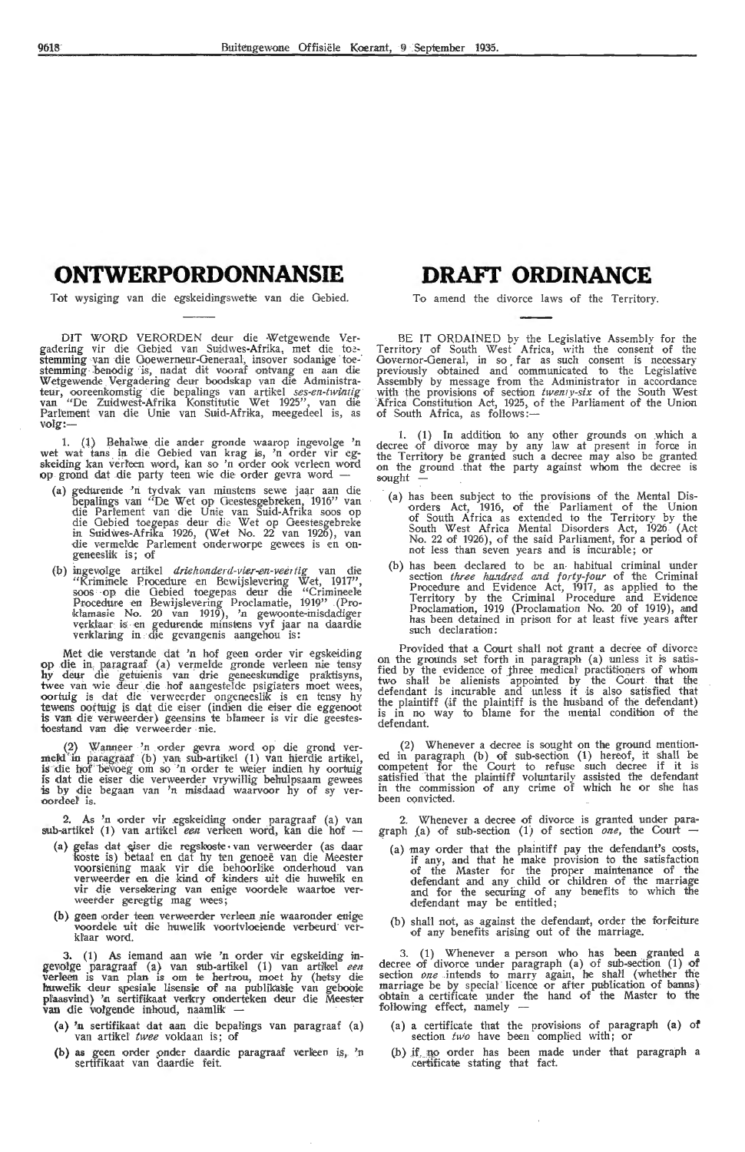## **ONTWERPORDONNANSIE**

Tot wysiging van die egskeidingswette van die Gebied.

DIT WORD VERORDEN deur die -Wetgewende Vergadering vir die Gebied van Suidwes-Afrika, met die toe-stemming van die Goewerneur-Generaal, insover sodanige toe-<br>stemming benodig is, nadat dit vooraf ontvang en aan die Wetgewende . Vergadering deur boodskap van die Administrateur, ooreenkomstig die bepalings van artikel *ses-en-twintig*<br>van "De Zuidwest-Afrika Konstitutie Wet 1925", van die Parfement van die Unie van Suid-Afrika, meegedeel is, as volg:-

1. (1) Behalwe die ander gronde waarop ingevolge 'n wet wat tans in die Oebied van krag is, 'n order vir eg-<br>skeiding kan verleen word, kan so 'n order ook verleen word op grond dat die party teen wie die order gevra word -

- **(a)** gedureride 'ri tydvak van minstens sewe jaar aan di;e bepalings vari "De Wet op Oeestesgebreken, 1916" van die Parlement van di-e Unie van Suid-Afrika soos op die Gebied toegepas deur die Wet op Geestesgebreke in Suidwes-Afrika 1926, (Wet No. 22 van 1926), van<br>die vermelde Parlement onderworpe gewees is en ongeneeslik is; of
- (b) ingevolge artikel *driehonderd-vier-en-veertig* van die "Kriminele Procedure en Bewijslevering Wet, 1917",<br>soos op die Oebied toegepas deur die "Crimineele Procedure en Bewijslevering Proclamatie, 1919" .(Pro-<br>klamasie No. 20 van 1919), 'n gewoonte-misdadiger verklaar is en gedurende minstens vyf jaar na daardie verklaring in die gevangenis aangehou is:

Met die verstande dat 'n hof geen order vir egskeiding op die in paragraaf (a) vermelde gronde verleen nie tensy hy deur die getuienis van drie geneeskundige praktisyns, twee van wie deur die hof aangestelde psigiaters moet wees, oortuig is dat die verweerder ongerueeslik is en tensy hy tewens oortuig is dat die eiser (indien die eiser die eggenoot<br>is van die verweerder) geensins te blameer is vir die geestestoestand van die verweerder nie.

(2) Wanneer 'n order gevra word op die grond vermeld in paragraaf (b) van sub-artikel (1) van hierdie artikel,<br>is die hof bevoeg om so 'n order te weier indien hy oortuig is by die begaan van 'n misdaad waarvoor hy of sy ver-<br>boordeel is.

2. As 'n order vir .egskeiding onder paragraaf (a) van sub-artikel (1) van artikel *een* verleen word, kan die hof --

- (a) gefas dat eiser die regskoste van verweerder (as daar koste is) betaal en dat hy ten genoeë van die Meester voorsiening maak vir die behoorlike onderhoud van verweerder en die kind of kinders uit die huwelik en vir die versekering van enige voordele waartoe verweerder geregtig mag wees;
- (b) geen order teen verweerder verleen nie waaronder enige voordele uit die huwelik voortvloeiende verbeurd ver-<br>klaar word.

3. (1) As iemand aan wie 'n order vir egskeiding ingevolge paragraaf (a) van sub-artikel (1) van artikel een verleen is van plan is om te hertrou, moet hy (hetsy die huwelik deur spesiale lisensie of na publikasie van gebooie plaasvind) 'n sertifikaat verkry onderteken deur die Meester<br>van die volgende inhoud, naamlik --

- (a) 'n sertifikaat dat aan die bepalings van paragraaf (a) van artikel *twee* voldaan is; of
- (b) as geen order onder daardie paragraaf verleen is, 'n sertifikaat van daardie feit.

# **DRAFI' ORDINANCE**

To amend the divorce laws of the Territory.

BE IT ORDAINED by the Legislative Assembly for the Territory of South West Africa, with the consent of the Governor-General, in so far as such consent is necessary previously obtained and communicated to the Legislative Assembly by message from the Administrator in accordance with the provisions of section *twenty-six* of the South West Africa Constituhon Act, 1925, of the Parliament of the Union of South Africa, as follows:-

1. (1) In addition to any other grounds on which a decree of divorce may by any law at present in force in the Territory be granted such a decree may also be granted on the ground that the party against whom the decree is sought

- (a) has been subject to the provisions of the Mental Dis- •orders Act, 1916, of the Parliament of the Union of South Africa as extended to the Territory by the South West Africa Mental Disorders Act, 1926 (Act<br>No. 22 of 1926), of the said Parliament, for a period of not less than seven years and is incurable; or
- (b) has been declared to be an• habitual criminal under section *three hundred and forty-four* of the Criminal Procedure and Evidence Act, 1917, as applied to the Territory by the Criminal Procedure and Evidence<br>Proclamation, 1919 (Proclamation No. 20 of 1919), and has been detained in prison for at least five years after such declaration:

Provided that a Court shall not grant a decree of divorce on the grounds set forth in paragraph (a) unless it is satisfied by the evidence of three medical practitioners of whom two shall be alienists appointed by the Court that the defendant is incurable and unless it is also satisfied that the plaintiff (if the plaintiff is the husband of the defendant) is in no way to blame for the mental condition of the defendant.

(2) Whenever a decree is sought on the ground mentioned in paragraph (b) of sub-section (1) hereof, it Shall be competent for the Court to refuse such decree if it is satisfied that the plaintiff voluntarily assisted the defendant in the commission of any crime of which he or she has been convicted.

2. Whenever a decree of divorce is granted under para-<br>graph (a) of sub-section (1) of section *one*, the Court -

- (a) may order that the plaintiff pay the defendant's costs, if any, and that he make provision to the satisfaction of the Master for the proper maintenance of the defendant and any child or children of the marriage and for the securing of any benefits to which the defendant may be entitled;
- (b) shall not, as against the defendant, order the forfeiture of any benefits arising out of the marriage.

3. (1) Whenever a person who has been granted a decree of divorce under paragraph (a) of sub-section (1) of section *one* intends to marry again, he shall (whether the marriage be by special licence or after publication of banns) obtain a certificate under the hand of the Master to the following effect, namely

- (a) a certificate that the provisions of paragraph (a) of section *two* have been complied with; or
- (b) if no order has been made under that paragraph a certificate stating that fact.